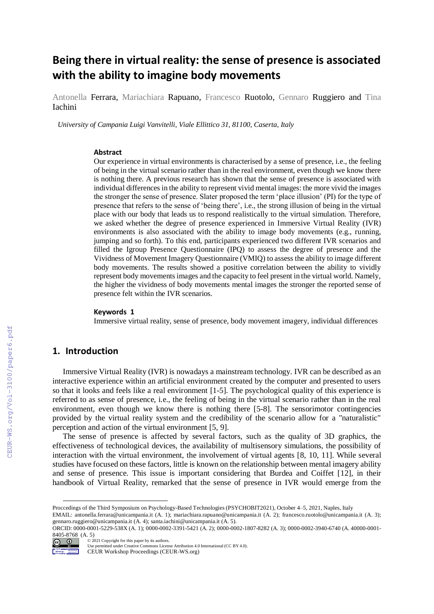# **Being there in virtual reality: the sense of presence is associated with the ability to imagine body movements**

Antonella Ferrara, Mariachiara Rapuano, Francesco Ruotolo, Gennaro Ruggiero and Tina Iachini

*University of Campania Luigi Vanvitelli, Viale Ellittico 31, 81100, Caserta, Italy*

#### **Abstract**

Our experience in virtual environments is characterised by a sense of presence, i.e., the feeling of being in the virtual scenario rather than in the real environment, even though we know there is nothing there. A previous research has shown that the sense of presence is associated with individual differences in the ability to represent vivid mental images: the more vivid the images the stronger the sense of presence. Slater proposed the term 'place illusion' (PI) for the type of presence that refers to the sense of 'being there', i.e., the strong illusion of being in the virtual place with our body that leads us to respond realistically to the virtual simulation. Therefore, we asked whether the degree of presence experienced in Immersive Virtual Reality (IVR) environments is also associated with the ability to image body movements (e.g., running, jumping and so forth). To this end, participants experienced two different IVR scenarios and filled the Igroup Presence Questionnaire (IPQ) to assess the degree of presence and the Vividness of Movement Imagery Questionnaire (VMIQ) to assess the ability to image different body movements. The results showed a positive correlation between the ability to vividly represent body movements images and the capacity to feel present in the virtual world. Namely, the higher the vividness of body movements mental images the stronger the reported sense of presence felt within the IVR scenarios.

#### **Keywords 1**

Immersive virtual reality, sense of presence, body movement imagery, individual differences

# **1. Introduction**

Immersive Virtual Reality (IVR) is nowadays a mainstream technology. IVR can be described as an interactive experience within an artificial environment created by the computer and presented to users so that it looks and feels like a real environment [1-5]. The psychological quality of this experience is referred to as sense of presence, i.e., the feeling of being in the virtual scenario rather than in the real environment, even though we know there is nothing there [5-8]. The sensorimotor contingencies provided by the virtual reality system and the credibility of the scenario allow for a "naturalistic" perception and action of the virtual environment [5, 9].

The sense of presence is affected by several factors, such as the quality of 3D graphics, the effectiveness of technological devices, the availability of multisensory simulations, the possibility of interaction with the virtual environment, the involvement of virtual agents [8, 10, 11]. While several studies have focused on these factors, little is known on the relationship between mental imagery ability and sense of presence. This issue is important considering that Burdea and Coiffet [12], in their handbook of Virtual Reality, remarked that the sense of presence in IVR would emerge from the

ORCID: 0000-0001-5229-538X (A. 1); 0000-0002-3391-5421 (A. 2); 0000-0002-1807-8282 (A. 3); 0000-0002-3940-6740 (A. 40000-0001- 8405-8768 (A. 5) ©️ 2021 Copyright for this paper by its authors.



-

Use permitted under Creative Commons License Attribution 4.0 International (CC BY 4.0).

CEUR Workshop Proceedings (CEUR-WS.org)

Proccedings of the Third Symposium on Psychology-Based Technologies (PSYCHOBIT2021), October 4–5, 2021, Naples, Italy

EMAIL: antonella.ferrara@unicampania.it (A. 1); mariachiara.rapuano@unicampania.it (A. 2); francesco.ruotolo@unicampania.it (A. 3); gennaro.ruggiero@unicampania.it (A. 4); santa.iachini@unicampania.it (A. 5).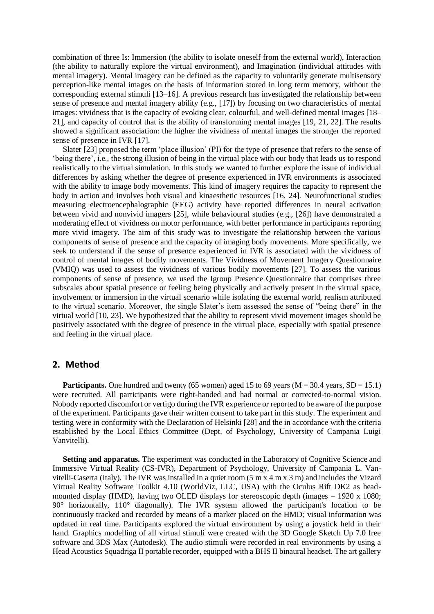combination of three Is: Immersion (the ability to isolate oneself from the external world), Interaction (the ability to naturally explore the virtual environment), and Imagination (individual attitudes with mental imagery). Mental imagery can be defined as the capacity to voluntarily generate multisensory perception-like mental images on the basis of information stored in long term memory, without the corresponding external stimuli [13–16]. A previous research has investigated the relationship between sense of presence and mental imagery ability (e.g., [17]) by focusing on two characteristics of mental images: vividness that is the capacity of evoking clear, colourful, and well-defined mental images [18– 21], and capacity of control that is the ability of transforming mental images [19, 21, 22]. The results showed a significant association: the higher the vividness of mental images the stronger the reported sense of presence in IVR [17].

Slater [23] proposed the term 'place illusion' (PI) for the type of presence that refers to the sense of 'being there', i.e., the strong illusion of being in the virtual place with our body that leads us to respond realistically to the virtual simulation. In this study we wanted to further explore the issue of individual differences by asking whether the degree of presence experienced in IVR environments is associated with the ability to image body movements. This kind of imagery requires the capacity to represent the body in action and involves both visual and kinaesthetic resources [16, 24]. Neurofunctional studies measuring electroencephalographic (EEG) activity have reported differences in neural activation between vivid and nonvivid imagers [25], while behavioural studies (e.g., [26]) have demonstrated a moderating effect of vividness on motor performance, with better performance in participants reporting more vivid imagery. The aim of this study was to investigate the relationship between the various components of sense of presence and the capacity of imaging body movements. More specifically, we seek to understand if the sense of presence experienced in IVR is associated with the vividness of control of mental images of bodily movements. The Vividness of Movement Imagery Questionnaire (VMIQ) was used to assess the vividness of various bodily movements [27]. To assess the various components of sense of presence, we used the Igroup Presence Questionnaire that comprises three subscales about spatial presence or feeling being physically and actively present in the virtual space, involvement or immersion in the virtual scenario while isolating the external world, realism attributed to the virtual scenario. Moreover, the single Slater's item assessed the sense of "being there" in the virtual world [10, 23]. We hypothesized that the ability to represent vivid movement images should be positively associated with the degree of presence in the virtual place, especially with spatial presence and feeling in the virtual place.

# **2. Method**

**Participants.** One hundred and twenty (65 women) aged 15 to 69 years ( $M = 30.4$  years,  $SD = 15.1$ ) were recruited. All participants were right-handed and had normal or corrected-to-normal vision. Nobody reported discomfort or vertigo during the IVR experience or reported to be aware of the purpose of the experiment. Participants gave their written consent to take part in this study. The experiment and testing were in conformity with the Declaration of Helsinki [28] and the in accordance with the criteria established by the Local Ethics Committee (Dept. of Psychology, University of Campania Luigi Vanvitelli).

**Setting and apparatus.** The experiment was conducted in the Laboratory of Cognitive Science and Immersive Virtual Reality (CS-IVR), Department of Psychology, University of Campania L. Vanvitelli-Caserta (Italy). The IVR was installed in a quiet room (5 m x 4 m x 3 m) and includes the Vizard Virtual Reality Software Toolkit 4.10 (WorldViz, LLC, USA) with the Oculus Rift DK2 as headmounted display (HMD), having two OLED displays for stereoscopic depth (images = 1920 x 1080; 90° horizontally, 110° diagonally). The IVR system allowed the participant's location to be continuously tracked and recorded by means of a marker placed on the HMD; visual information was updated in real time. Participants explored the virtual environment by using a joystick held in their hand. Graphics modelling of all virtual stimuli were created with the 3D Google Sketch Up 7.0 free software and 3DS Max (Autodesk). The audio stimuli were recorded in real environments by using a Head Acoustics Squadriga II portable recorder, equipped with a BHS II binaural headset. The art gallery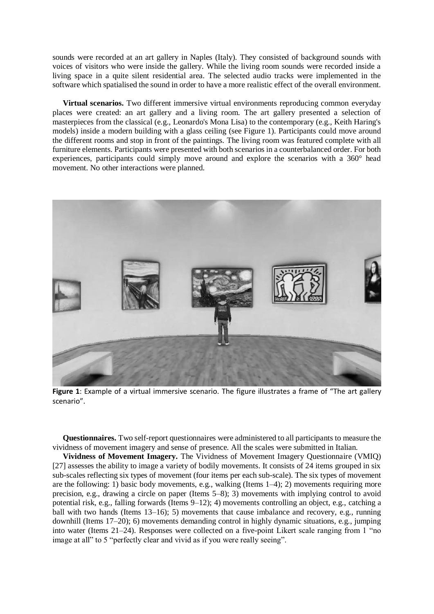sounds were recorded at an art gallery in Naples (Italy). They consisted of background sounds with voices of visitors who were inside the gallery. While the living room sounds were recorded inside a living space in a quite silent residential area. The selected audio tracks were implemented in the software which spatialised the sound in order to have a more realistic effect of the overall environment.

**Virtual scenarios.** Two different immersive virtual environments reproducing common everyday places were created: an art gallery and a living room. The art gallery presented a selection of masterpieces from the classical (e.g., Leonardo's Mona Lisa) to the contemporary (e.g., Keith Haring's models) inside a modern building with a glass ceiling (see Figure 1). Participants could move around the different rooms and stop in front of the paintings. The living room was featured complete with all furniture elements. Participants were presented with both scenarios in a counterbalanced order. For both experiences, participants could simply move around and explore the scenarios with a 360° head movement. No other interactions were planned.



**Figure 1**: Example of a virtual immersive scenario. The figure illustrates a frame of "The art gallery scenario".

**Questionnaires.** Two self-report questionnaires were administered to all participants to measure the vividness of movement imagery and sense of presence. All the scales were submitted in Italian.

**Vividness of Movement Imagery.** The Vividness of Movement Imagery Questionnaire (VMIQ) [27] assesses the ability to image a variety of bodily movements. It consists of 24 items grouped in six sub-scales reflecting six types of movement (four items per each sub-scale). The six types of movement are the following: 1) basic body movements, e.g., walking (Items 1–4); 2) movements requiring more precision, e.g., drawing a circle on paper (Items 5–8); 3) movements with implying control to avoid potential risk, e.g., falling forwards (Items 9–12); 4) movements controlling an object, e.g., catching a ball with two hands (Items 13–16); 5) movements that cause imbalance and recovery, e.g., running downhill (Items 17–20); 6) movements demanding control in highly dynamic situations, e.g., jumping into water (Items 21–24). Responses were collected on a five-point Likert scale ranging from 1 "no image at all" to 5 "perfectly clear and vivid as if you were really seeing".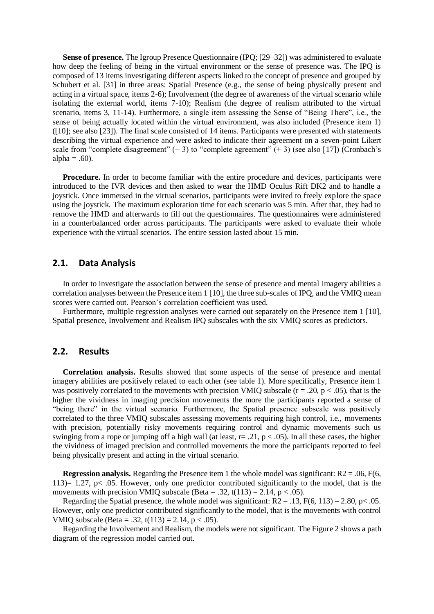**Sense of presence.** The Igroup Presence Questionnaire (IPQ; [29–32]) was administered to evaluate how deep the feeling of being in the virtual environment or the sense of presence was. The IPQ is composed of 13 items investigating different aspects linked to the concept of presence and grouped by Schubert et al. [31] in three areas: Spatial Presence (e.g., the sense of being physically present and acting in a virtual space, items 2-6); Involvement (the degree of awareness of the virtual scenario while isolating the external world, items 7-10); Realism (the degree of realism attributed to the virtual scenario, items 3, 11-14). Furthermore, a single item assessing the Sense of "Being There", i.e., the sense of being actually located within the virtual environment, was also included (Presence item 1) ([10]; see also [23]). The final scale consisted of 14 items. Participants were presented with statements describing the virtual experience and were asked to indicate their agreement on a seven-point Likert scale from "complete disagreement" (− 3) to "complete agreement" (+ 3) (see also [17]) (Cronbach's alpha  $= .60$ ).

**Procedure.** In order to become familiar with the entire procedure and devices, participants were introduced to the IVR devices and then asked to wear the HMD Oculus Rift DK2 and to handle a joystick. Once immersed in the virtual scenarios, participants were invited to freely explore the space using the joystick. The maximum exploration time for each scenario was 5 min. After that, they had to remove the HMD and afterwards to fill out the questionnaires. The questionnaires were administered in a counterbalanced order across participants. The participants were asked to evaluate their whole experience with the virtual scenarios. The entire session lasted about 15 min.

# **2.1. Data Analysis**

In order to investigate the association between the sense of presence and mental imagery abilities a correlation analyses between the Presence item 1 [10], the three sub-scales of IPQ, and the VMIQ mean scores were carried out. Pearson's correlation coefficient was used.

Furthermore, multiple regression analyses were carried out separately on the Presence item 1 [10], Spatial presence, Involvement and Realism IPQ subscales with the six VMIQ scores as predictors.

## **2.2. Results**

**Correlation analysis.** Results showed that some aspects of the sense of presence and mental imagery abilities are positively related to each other (see table 1). More specifically, Presence item 1 was positively correlated to the movements with precision VMIO subscale ( $r = .20$ ,  $p < .05$ ), that is the higher the vividness in imaging precision movements the more the participants reported a sense of "being there" in the virtual scenario. Furthermore, the Spatial presence subscale was positively correlated to the three VMIQ subscales assessing movements requiring high control, i.e., movements with precision, potentially risky movements requiring control and dynamic movements such us swinging from a rope or jumping off a high wall (at least,  $r = .21$ ,  $p < .05$ ). In all these cases, the higher the vividness of imaged precision and controlled movements the more the participants reported to feel being physically present and acting in the virtual scenario.

**Regression analysis.** Regarding the Presence item 1 the whole model was significant:  $R2 = .06$ ,  $F(6)$ , 113 $= 1.27$ , p $\lt$  0.05. However, only one predictor contributed significantly to the model, that is the movements with precision VMIO subscale (Beta = .32, t(113) = 2.14, p < .05).

Regarding the Spatial presence, the whole model was significant:  $R2 = .13$ ,  $F(6, 113) = 2.80$ , p< .05. However, only one predictor contributed significantly to the model, that is the movements with control VMIQ subscale (Beta = .32, t(113) = 2.14,  $p < .05$ ).

Regarding the Involvement and Realism, the models were not significant. The Figure 2 shows a path diagram of the regression model carried out.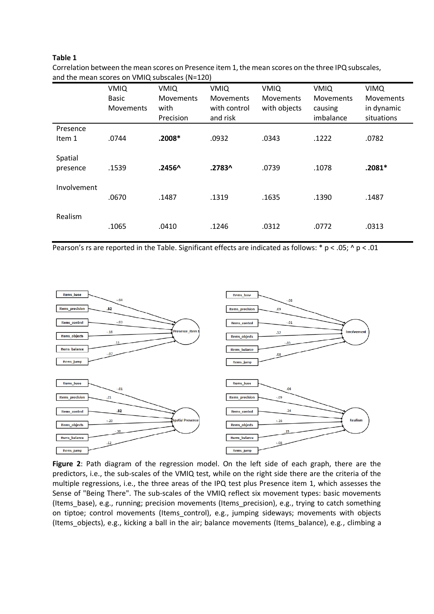#### **Table 1**

|             | <b>VMIQ</b>      | <b>VMIQ</b>      | <b>VMIQ</b>      | <b>VMIQ</b>      | <b>VMIQ</b>      | <b>VIMQ</b>      |
|-------------|------------------|------------------|------------------|------------------|------------------|------------------|
|             | <b>Basic</b>     | <b>Movements</b> | <b>Movements</b> | <b>Movements</b> | <b>Movements</b> | <b>Movements</b> |
|             | <b>Movements</b> | with             | with control     | with objects     | causing          | in dynamic       |
|             |                  | Precision        | and risk         |                  | imbalance        | situations       |
| Presence    |                  |                  |                  |                  |                  |                  |
| Item 1      | .0744            | $.2008*$         | .0932            | .0343            | .1222            | .0782            |
|             |                  |                  |                  |                  |                  |                  |
| Spatial     |                  |                  |                  |                  |                  |                  |
| presence    | .1539            | $.2456^$         | .2783^           | .0739            | .1078            | $.2081*$         |
|             |                  |                  |                  |                  |                  |                  |
| Involvement |                  |                  |                  |                  |                  |                  |
|             | .0670            | .1487            | .1319            | .1635            | .1390            | .1487            |
|             |                  |                  |                  |                  |                  |                  |
| Realism     |                  |                  |                  |                  |                  |                  |
|             | .1065            | .0410            | .1246            | .0312            | .0772            | .0313            |
|             |                  |                  |                  |                  |                  |                  |

Correlation between the mean scores on Presence item 1, the mean scores on the three IPQ subscales, and the mean scores on VMIQ subscales (N=120)

Pearson's rs are reported in the Table. Significant effects are indicated as follows: \* p < .05; ^ p < .01



**Figure 2**: Path diagram of the regression model. On the left side of each graph, there are the predictors, i.e., the sub-scales of the VMIQ test, while on the right side there are the criteria of the multiple regressions, i.e., the three areas of the IPQ test plus Presence item 1, which assesses the Sense of "Being There". The sub-scales of the VMIQ reflect six movement types: basic movements (Items\_base), e.g., running; precision movements (Items\_precision), e.g., trying to catch something on tiptoe; control movements (Items\_control), e.g., jumping sideways; movements with objects (Items\_objects), e.g., kicking a ball in the air; balance movements (Items\_balance), e.g., climbing a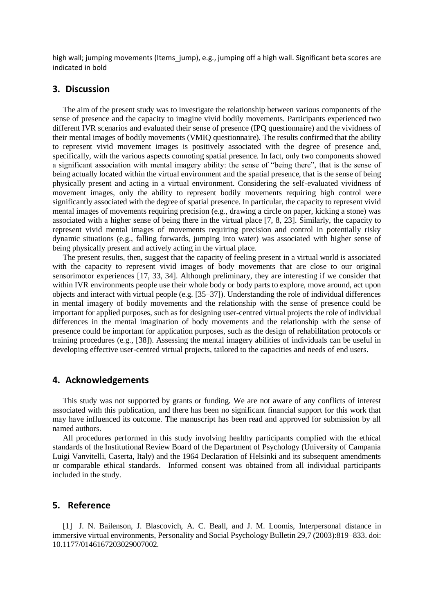high wall; jumping movements (Items jump), e.g., jumping off a high wall. Significant beta scores are indicated in bold

# **3. Discussion**

The aim of the present study was to investigate the relationship between various components of the sense of presence and the capacity to imagine vivid bodily movements. Participants experienced two different IVR scenarios and evaluated their sense of presence (IPQ questionnaire) and the vividness of their mental images of bodily movements (VMIQ questionnaire). The results confirmed that the ability to represent vivid movement images is positively associated with the degree of presence and, specifically, with the various aspects connoting spatial presence. In fact, only two components showed a significant association with mental imagery ability: the sense of "being there", that is the sense of being actually located within the virtual environment and the spatial presence, that is the sense of being physically present and acting in a virtual environment. Considering the self-evaluated vividness of movement images, only the ability to represent bodily movements requiring high control were significantly associated with the degree of spatial presence. In particular, the capacity to represent vivid mental images of movements requiring precision (e.g., drawing a circle on paper, kicking a stone) was associated with a higher sense of being there in the virtual place [7, 8, 23]. Similarly, the capacity to represent vivid mental images of movements requiring precision and control in potentially risky dynamic situations (e.g., falling forwards, jumping into water) was associated with higher sense of being physically present and actively acting in the virtual place.

The present results, then, suggest that the capacity of feeling present in a virtual world is associated with the capacity to represent vivid images of body movements that are close to our original sensorimotor experiences [17, 33, 34]. Although preliminary, they are interesting if we consider that within IVR environments people use their whole body or body parts to explore, move around, act upon objects and interact with virtual people (e.g. [35–37]). Understanding the role of individual differences in mental imagery of bodily movements and the relationship with the sense of presence could be important for applied purposes, such as for designing user-centred virtual projects the role of individual differences in the mental imagination of body movements and the relationship with the sense of presence could be important for application purposes, such as the design of rehabilitation protocols or training procedures (e.g., [38]). Assessing the mental imagery abilities of individuals can be useful in developing effective user-centred virtual projects, tailored to the capacities and needs of end users.

# **4. Acknowledgements**

This study was not supported by grants or funding. We are not aware of any conflicts of interest associated with this publication, and there has been no significant financial support for this work that may have influenced its outcome. The manuscript has been read and approved for submission by all named authors.

All procedures performed in this study involving healthy participants complied with the ethical standards of the Institutional Review Board of the Department of Psychology (University of Campania Luigi Vanvitelli, Caserta, Italy) and the 1964 Declaration of Helsinki and its subsequent amendments or comparable ethical standards. Informed consent was obtained from all individual participants included in the study.

### **5. Reference**

[1] J. N. Bailenson, J. Blascovich, A. C. Beall, and J. M. Loomis, Interpersonal distance in immersive virtual environments, Personality and Social Psychology Bulletin 29,7 (2003):819–833. doi: 10.1177/0146167203029007002.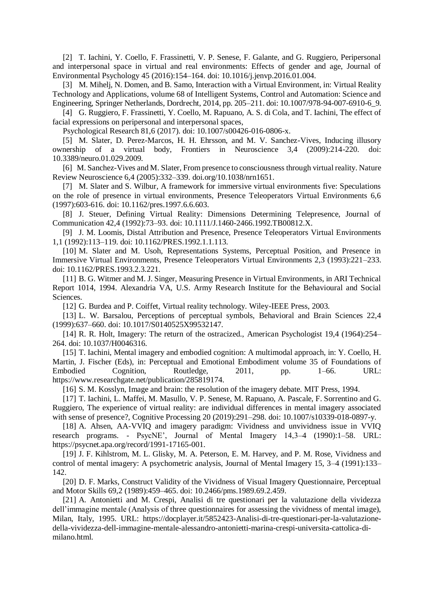[2] T. Iachini, Y. Coello, F. Frassinetti, V. P. Senese, F. Galante, and G. Ruggiero, Peripersonal and interpersonal space in virtual and real environments: Effects of gender and age, Journal of Environmental Psychology 45 (2016):154–164. doi: 10.1016/j.jenvp.2016.01.004.

[3] M. Mihelj, N. Domen, and B. Samo, Interaction with a Virtual Environment, in: Virtual Reality Technology and Applications, volume 68 of Intelligent Systems, Control and Automation: Science and Engineering, Springer Netherlands, Dordrecht, 2014, pp. 205–211. doi: 10.1007/978-94-007-6910-6\_9.

[4] G. Ruggiero, F. Frassinetti, Y. Coello, M. Rapuano, A. S. di Cola, and T. Iachini, The effect of facial expressions on peripersonal and interpersonal spaces,

Psychological Research 81,6 (2017). doi: 10.1007/s00426-016-0806-x.

[5] M. Slater, D. Perez-Marcos, H. H. Ehrsson, and M. V. Sanchez-Vives, Inducing illusory ownership of a virtual body, Frontiers in Neuroscience 3,4 (2009):214-220. doi: 10.3389/neuro.01.029.2009.

[6] M. Sanchez-Vives and M. Slater, From presence to consciousness through virtual reality. Nature Review Neuroscience 6,4 (2005):332–339. doi.org/10.1038/nrn1651.

[7] M. Slater and S. Wilbur, A framework for immersive virtual environments five: Speculations on the role of presence in virtual environments, Presence Teleoperators Virtual Environments 6,6 (1997):603-616. doi: 10.1162/pres.1997.6.6.603.

[8] J. Steuer, Defining Virtual Reality: Dimensions Determining Telepresence, Journal of Communication 42,4 (1992):73–93. doi: 10.1111/J.1460-2466.1992.TB00812.X.

[9] J. M. Loomis, Distal Attribution and Presence, Presence Teleoperators Virtual Environments 1,1 (1992):113–119. doi: 10.1162/PRES.1992.1.1.113.

[10] M. Slater and M. Usoh, Representations Systems, Perceptual Position, and Presence in Immersive Virtual Environments, Presence Teleoperators Virtual Environments 2,3 (1993):221–233. doi: 10.1162/PRES.1993.2.3.221.

[11] B. G. Witmer and M. J. Singer, Measuring Presence in Virtual Environments, in ARI Technical Report 1014, 1994. Alexandria VA, U.S. Army Research Institute for the Behavioural and Social Sciences.

[12] G. Burdea and P. Coiffet, Virtual reality technology. Wiley-IEEE Press, 2003.

[13] L. W. Barsalou, Perceptions of perceptual symbols, Behavioral and Brain Sciences 22,4 (1999):637–660. doi: 10.1017/S0140525X99532147.

[14] R. R. Holt, Imagery: The return of the ostracized., American Psychologist 19,4 (1964):254– 264. doi: 10.1037/H0046316.

[15] T. Iachini, Mental imagery and embodied cognition: A multimodal approach, in: Y. Coello, H. Martin, J. Fischer (Eds), in: Perceptual and Emotional Embodiment volume 35 of Foundations of Embodied Cognition, Routledge, 2011, pp. 1–66. URL: https://www.researchgate.net/publication/285819174.

[16] S. M. Kosslyn, Image and brain: the resolution of the imagery debate. MIT Press, 1994.

[17] T. Iachini, L. Maffei, M. Masullo, V. P. Senese, M. Rapuano, A. Pascale, F. Sorrentino and G. Ruggiero, The experience of virtual reality: are individual differences in mental imagery associated with sense of presence?, Cognitive Processing 20 (2019):291–298. doi: 10.1007/s10339-018-0897-y.

[18] A. Ahsen, AA-VVIQ and imagery paradigm: Vividness and unvividness issue in VVIQ research programs. - PsycNE', Journal of Mental Imagery 14,3–4 (1990):1–58. URL: https://psycnet.apa.org/record/1991-17165-001.

[19] J. F. Kihlstrom, M. L. Glisky, M. A. Peterson, E. M. Harvey, and P. M. Rose, Vividness and control of mental imagery: A psychometric analysis, Journal of Mental Imagery 15, 3–4 (1991):133– 142.

[20] D. F. Marks, Construct Validity of the Vividness of Visual Imagery Questionnaire, Perceptual and Motor Skills 69,2 (1989):459–465. doi: 10.2466/pms.1989.69.2.459.

[21] A. Antonietti and M. Crespi, Analisi di tre questionari per la valutazione della vividezza dell'immagine mentale (Analysis of three questionnaires for assessing the vividness of mental image), Milan, Italy, 1995. URL: https://docplayer.it/5852423-Analisi-di-tre-questionari-per-la-valutazionedella-vividezza-dell-immagine-mentale-alessandro-antonietti-marina-crespi-universita-cattolica-dimilano.html.